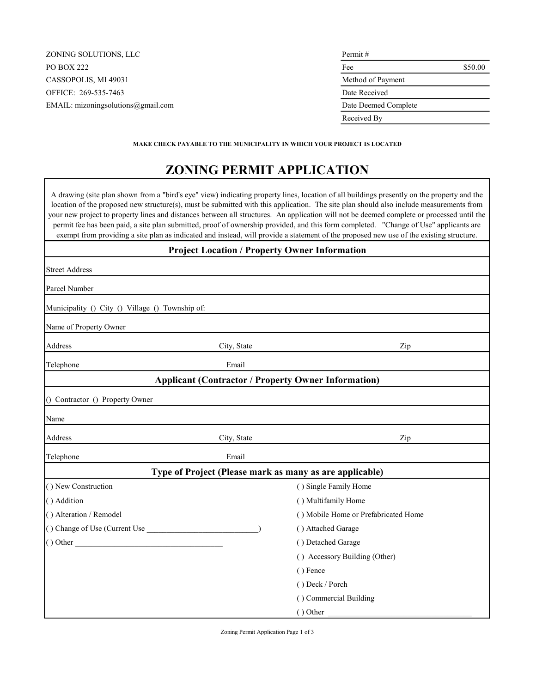| ZONING SOLUTIONS, LLC              | Permit#              |         |
|------------------------------------|----------------------|---------|
| <b>PO BOX 222</b>                  | Fee                  | \$50.00 |
| CASSOPOLIS, MI 49031               | Method of Payment    |         |
| OFFICE: 269-535-7463               | Date Received        |         |
| EMAIL: mizoningsolutions@gmail.com | Date Deemed Complete |         |
|                                    | Received By          |         |
|                                    |                      |         |

MAKE CHECK PAYABLE TO THE MUNICIPALITY IN WHICH YOUR PROJECT IS LOCATED

# ZONING PERMIT APPLICATION

A drawing (site plan shown from a "bird's eye" view) indicating property lines, location of all buildings presently on the property and the location of the proposed new structure(s), must be submitted with this application. The site plan should also include measurements from your new project to property lines and distances between all structures. An application will not be deemed complete or processed until the permit fee has been paid, a site plan submitted, proof of ownership provided, and this form completed. "Change of Use" applicants are exempt from providing a site plan as indicated and instead, will provide a statement of the proposed new use of the existing structure.

| <b>Project Location / Property Owner Information</b> |             |                                                            |  |
|------------------------------------------------------|-------------|------------------------------------------------------------|--|
| <b>Street Address</b>                                |             |                                                            |  |
| Parcel Number                                        |             |                                                            |  |
| Municipality () City () Village () Township of:      |             |                                                            |  |
| Name of Property Owner                               |             |                                                            |  |
| Address                                              | City, State | Zip                                                        |  |
| Telephone                                            | Email       |                                                            |  |
|                                                      |             | <b>Applicant (Contractor / Property Owner Information)</b> |  |
| () Contractor () Property Owner                      |             |                                                            |  |
| Name                                                 |             |                                                            |  |
| Address                                              | City, State | Zip                                                        |  |
| Telephone                                            | Email       |                                                            |  |
|                                                      |             | Type of Project (Please mark as many as are applicable)    |  |
| () New Construction                                  |             | () Single Family Home                                      |  |
| () Addition                                          |             | () Multifamily Home                                        |  |
| () Alteration / Remodel                              |             | () Mobile Home or Prefabricated Home                       |  |
| () Change of Use (Current Use                        |             | () Attached Garage                                         |  |
| $()$ Other $\qquad$                                  |             | () Detached Garage                                         |  |
|                                                      |             | () Accessory Building (Other)                              |  |
|                                                      |             | () Fence                                                   |  |
|                                                      |             | () Deck / Porch                                            |  |
|                                                      |             | () Commercial Building                                     |  |
|                                                      |             | () Other                                                   |  |

Zoning Permit Application Page 1 of 3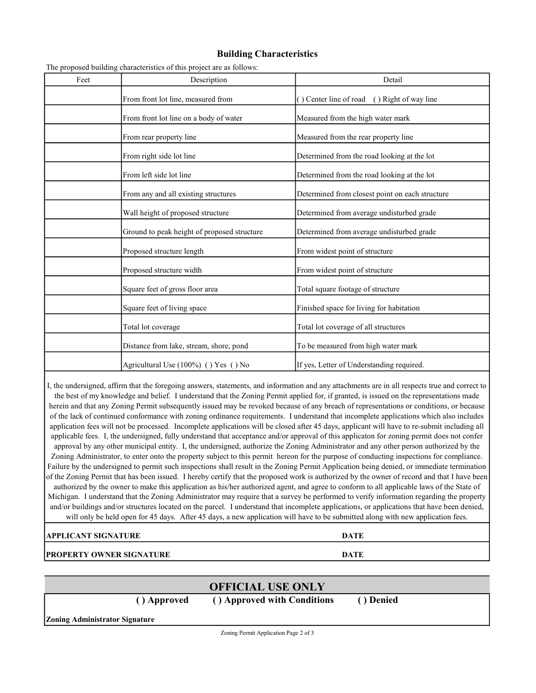### Building Characteristics

| Feet | Description                                 | Detail                                          |
|------|---------------------------------------------|-------------------------------------------------|
|      | From front lot line, measured from          | () Center line of road () Right of way line     |
|      | From front lot line on a body of water      | Measured from the high water mark               |
|      | From rear property line                     | Measured from the rear property line            |
|      | From right side lot line                    | Determined from the road looking at the lot     |
|      | From left side lot line                     | Determined from the road looking at the lot     |
|      | From any and all existing structures        | Determined from closest point on each structure |
|      | Wall height of proposed structure           | Determined from average undisturbed grade       |
|      | Ground to peak height of proposed structure | Determined from average undisturbed grade       |
|      | Proposed structure length                   | From widest point of structure                  |
|      | Proposed structure width                    | From widest point of structure                  |
|      | Square feet of gross floor area             | Total square footage of structure               |
|      | Square feet of living space                 | Finished space for living for habitation        |
|      | Total lot coverage                          | Total lot coverage of all structures            |
|      | Distance from lake, stream, shore, pond     | To be measured from high water mark             |
|      | Agricultural Use (100%) () Yes () No        | If yes, Letter of Understanding required.       |

The proposed building characteristics of this project are as follows:

I, the undersigned, affirm that the foregoing answers, statements, and information and any attachments are in all respects true and correct to the best of my knowledge and belief. I understand that the Zoning Permit applied for, if granted, is issued on the representations made herein and that any Zoning Permit subsequently issued may be revoked because of any breach of representations or conditions, or because of the lack of continued conformance with zoning ordinance requirements. I understand that incomplete applications which also includes application fees will not be processed. Incomplete applications will be closed after 45 days, applicant will have to re-submit including all applicable fees. I, the undersigned, fully understand that acceptance and/or approval of this applicaton for zoning permit does not confer approval by any other municipal entity. I, the undersigned, authorize the Zoning Administrator and any other person authorized by the Zoning Administrator, to enter onto the property subject to this permit hereon for the purpose of conducting inspections for compliance. Failure by the undersigned to permit such inspections shall result in the Zoning Permit Application being denied, or immediate termination of the Zoning Permit that has been issued. I hereby certify that the proposed work is authorized by the owner of record and that I have been authorized by the owner to make this application as his/her authorized agent, and agree to conform to all applicable laws of the State of Michigan. I understand that the Zoning Administrator may require that a survey be performed to verify information regarding the property and/or buildings and/or structures located on the parcel. I understand that incomplete applications, or applications that have been denied, will only be held open for 45 days. After 45 days, a new application will have to be submitted along with new application fees.

APPLICANT SIGNATURE **DATE** 

**PROPERTY OWNER SIGNATURE DATE** 

## OFFICIAL USE ONLY

( ) Approved ( ) Approved with Conditions ( ) Denied

Zoning Administrator Signature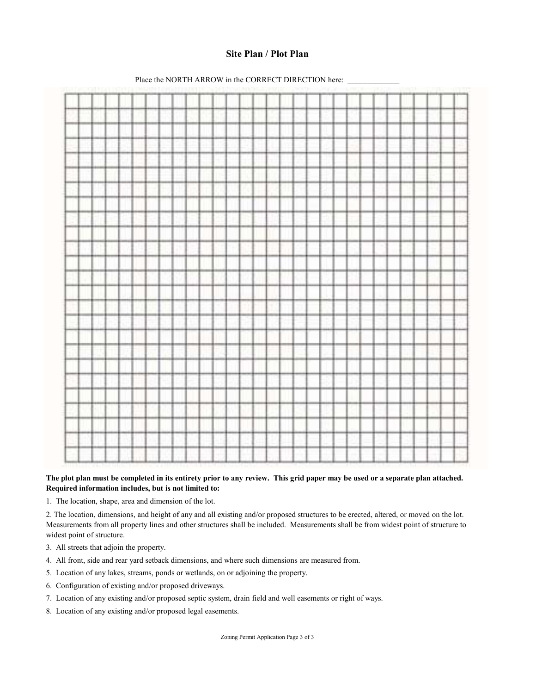### Site Plan / Plot Plan



Place the NORTH ARROW in the CORRECT DIRECTION here:

#### The plot plan must be completed in its entirety prior to any review. This grid paper may be used or a separate plan attached. Required information includes, but is not limited to:

1. The location, shape, area and dimension of the lot.

2. The location, dimensions, and height of any and all existing and/or proposed structures to be erected, altered, or moved on the lot. Measurements from all property lines and other structures shall be included. Measurements shall be from widest point of structure to widest point of structure.

- 3. All streets that adjoin the property.
- 4. All front, side and rear yard setback dimensions, and where such dimensions are measured from.
- 5. Location of any lakes, streams, ponds or wetlands, on or adjoining the property.
- 6. Configuration of existing and/or proposed driveways.
- 7. Location of any existing and/or proposed septic system, drain field and well easements or right of ways.
- 8. Location of any existing and/or proposed legal easements.